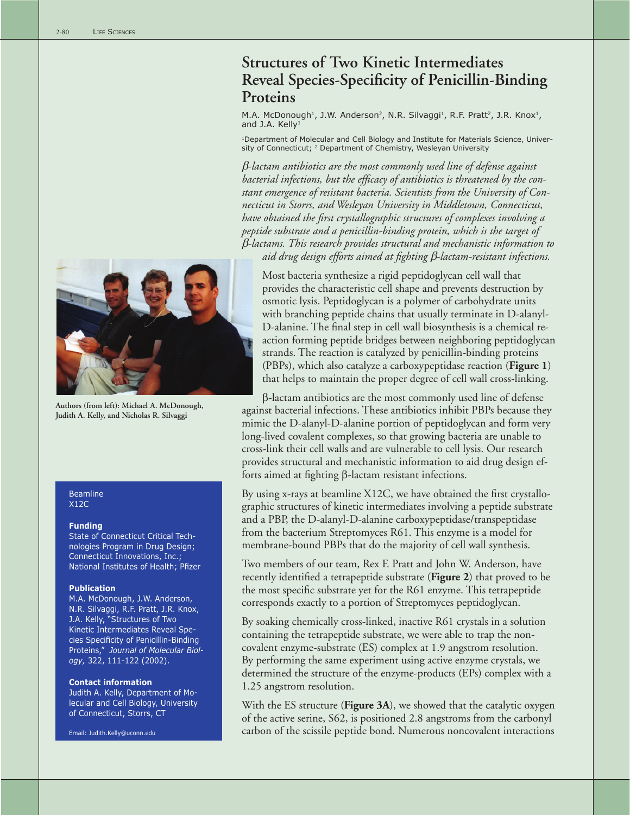

**Authors (from left): Michael A. McDonough, Judith A. Kelly, and Nicholas R. Silvaggi**

## Beamline X12C

#### **Funding**

State of Connecticut Critical Technologies Program in Drug Design; Connecticut Innovations, Inc.; National Institutes of Health; Pfizer

## **Publication**

M.A. McDonough, J.W. Anderson, N.R. Silvaggi, R.F. Pratt, J.R. Knox, J.A. Kelly, "Structures of Two Kinetic Intermediates Reveal Species Specificity of Penicillin-Binding Proteins," *Journal of Molecular Biology,* 322, 111-122 (2002).

#### **Contact information**

Judith A. Kelly, Department of Molecular and Cell Biology, University of Connecticut, Storrs, CT

Email: Judith.Kelly@uconn.edu

# **Structures of Two Kinetic Intermediates Reveal Species-Specificity of Penicillin-Binding Proteins**

M.A. McDonough<sup>1</sup>, J.W. Anderson<sup>2</sup>, N.R. Silvaggi<sup>1</sup>, R.F. Pratt<sup>2</sup>, J.R. Knox<sup>1</sup>, and J.A. Kelly<sup>1</sup>

1Department of Molecular and Cell Biology and Institute for Materials Science, University of Connecticut; <sup>2</sup> Department of Chemistry, Wesleyan University

β*-lactam antibiotics are the most commonly used line of defense against bacterial infections, but the efficacy of antibiotics is threatened by the constant emergence of resistant bacteria. Scientists from the University of Connecticut in Storrs, and Wesleyan University in Middletown, Connecticut, have obtained the first crystallographic structures of complexes involving a peptide substrate and a penicillin-binding protein, which is the target of*  β*-lactams. This research provides structural and mechanistic information to aid drug design efforts aimed at fighting* β*-lactam-resistant infections.*

Most bacteria synthesize a rigid peptidoglycan cell wall that provides the characteristic cell shape and prevents destruction by osmotic lysis. Peptidoglycan is a polymer of carbohydrate units with branching peptide chains that usually terminate in D-alanyl-D-alanine. The final step in cell wall biosynthesis is a chemical reaction forming peptide bridges between neighboring peptidoglycan strands. The reaction is catalyzed by penicillin-binding proteins (PBPs), which also catalyze a carboxypeptidase reaction (**Figure 1**) that helps to maintain the proper degree of cell wall cross-linking.

β-lactam antibiotics are the most commonly used line of defense against bacterial infections. These antibiotics inhibit PBPs because they mimic the D-alanyl-D-alanine portion of peptidoglycan and form very long-lived covalent complexes, so that growing bacteria are unable to cross-link their cell walls and are vulnerable to cell lysis. Our research provides structural and mechanistic information to aid drug design efforts aimed at fighting β-lactam resistant infections.

By using x-rays at beamline X12C, we have obtained the first crystallographic structures of kinetic intermediates involving a peptide substrate and a PBP, the D-alanyl-D-alanine carboxypeptidase/transpeptidase from the bacterium Streptomyces R61. This enzyme is a model for membrane-bound PBPs that do the majority of cell wall synthesis.

Two members of our team, Rex F. Pratt and John W. Anderson, have recently identified a tetrapeptide substrate (**Figure 2**) that proved to be the most specific substrate yet for the R61 enzyme. This tetrapeptide corresponds exactly to a portion of Streptomyces peptidoglycan.

By soaking chemically cross-linked, inactive R61 crystals in a solution containing the tetrapeptide substrate, we were able to trap the noncovalent enzyme-substrate (ES) complex at 1.9 angstrom resolution. By performing the same experiment using active enzyme crystals, we determined the structure of the enzyme-products (EPs) complex with a 1.25 angstrom resolution.

With the ES structure (**Figure 3A**), we showed that the catalytic oxygen of the active serine, S62, is positioned 2.8 angstroms from the carbonyl carbon of the scissile peptide bond. Numerous noncovalent interactions